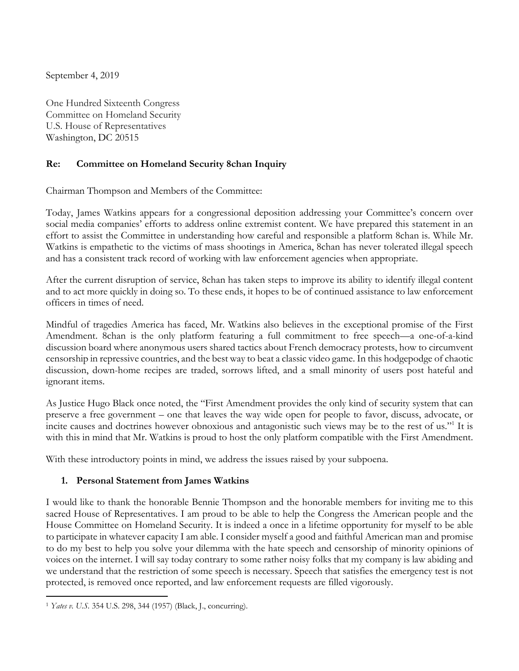September 4, 2019

One Hundred Sixteenth Congress Committee on Homeland Security U.S. House of Representatives Washington, DC 20515

### **Re: Committee on Homeland Security 8chan Inquiry**

Chairman Thompson and Members of the Committee:

Today, James Watkins appears for a congressional deposition addressing your Committee's concern over social media companies' efforts to address online extremist content. We have prepared this statement in an effort to assist the Committee in understanding how careful and responsible a platform 8chan is. While Mr. Watkins is empathetic to the victims of mass shootings in America, 8chan has never tolerated illegal speech and has a consistent track record of working with law enforcement agencies when appropriate.

After the current disruption of service, 8chan has taken steps to improve its ability to identify illegal content and to act more quickly in doing so. To these ends, it hopes to be of continued assistance to law enforcement officers in times of need.

Mindful of tragedies America has faced, Mr. Watkins also believes in the exceptional promise of the First Amendment. 8chan is the only platform featuring a full commitment to free speech—a one-of-a-kind discussion board where anonymous users shared tactics about French democracy protests, how to circumvent censorship in repressive countries, and the best way to beat a classic video game. In this hodgepodge of chaotic discussion, down-home recipes are traded, sorrows lifted, and a small minority of users post hateful and ignorant items.

As Justice Hugo Black once noted, the "First Amendment provides the only kind of security system that can preserve a free government – one that leaves the way wide open for people to favor, discuss, advocate, or incite causes and doctrines however obnoxious and antagonistic such views may be to the rest of us."1 It is with this in mind that Mr. Watkins is proud to host the only platform compatible with the First Amendment.

With these introductory points in mind, we address the issues raised by your subpoena.

#### **1. Personal Statement from James Watkins**

I would like to thank the honorable Bennie Thompson and the honorable members for inviting me to this sacred House of Representatives. I am proud to be able to help the Congress the American people and the House Committee on Homeland Security. It is indeed a once in a lifetime opportunity for myself to be able to participate in whatever capacity I am able. I consider myself a good and faithful American man and promise to do my best to help you solve your dilemma with the hate speech and censorship of minority opinions of voices on the internet. I will say today contrary to some rather noisy folks that my company is law abiding and we understand that the restriction of some speech is necessary. Speech that satisfies the emergency test is not protected, is removed once reported, and law enforcement requests are filled vigorously.

<sup>1</sup> *Yates v. U.S.* 354 U.S. 298, 344 (1957) (Black, J., concurring).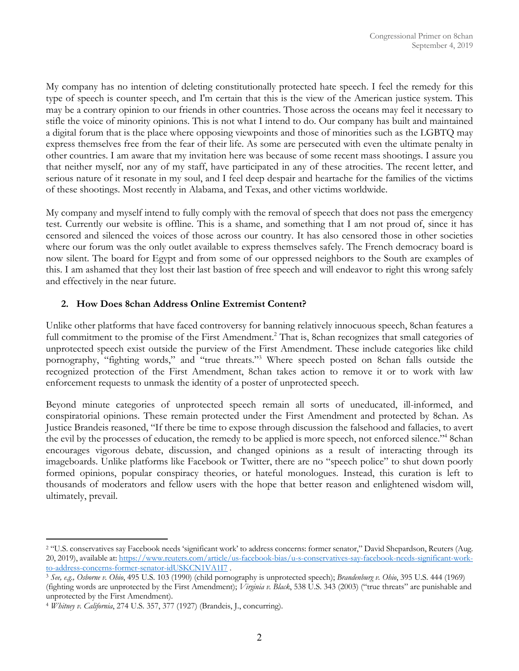My company has no intention of deleting constitutionally protected hate speech. I feel the remedy for this type of speech is counter speech, and I'm certain that this is the view of the American justice system. This may be a contrary opinion to our friends in other countries. Those across the oceans may feel it necessary to stifle the voice of minority opinions. This is not what I intend to do. Our company has built and maintained a digital forum that is the place where opposing viewpoints and those of minorities such as the LGBTQ may express themselves free from the fear of their life. As some are persecuted with even the ultimate penalty in other countries. I am aware that my invitation here was because of some recent mass shootings. I assure you that neither myself, nor any of my staff, have participated in any of these atrocities. The recent letter, and serious nature of it resonate in my soul, and I feel deep despair and heartache for the families of the victims of these shootings. Most recently in Alabama, and Texas, and other victims worldwide.

My company and myself intend to fully comply with the removal of speech that does not pass the emergency test. Currently our website is offline. This is a shame, and something that I am not proud of, since it has censored and silenced the voices of those across our country. It has also censored those in other societies where our forum was the only outlet available to express themselves safely. The French democracy board is now silent. The board for Egypt and from some of our oppressed neighbors to the South are examples of this. I am ashamed that they lost their last bastion of free speech and will endeavor to right this wrong safely and effectively in the near future.

### **2. How Does 8chan Address Online Extremist Content?**

Unlike other platforms that have faced controversy for banning relatively innocuous speech, 8chan features a full commitment to the promise of the First Amendment.<sup>2</sup> That is, 8chan recognizes that small categories of unprotected speech exist outside the purview of the First Amendment. These include categories like child pornography, "fighting words," and "true threats."3 Where speech posted on 8chan falls outside the recognized protection of the First Amendment, 8chan takes action to remove it or to work with law enforcement requests to unmask the identity of a poster of unprotected speech.

Beyond minute categories of unprotected speech remain all sorts of uneducated, ill-informed, and conspiratorial opinions. These remain protected under the First Amendment and protected by 8chan. As Justice Brandeis reasoned, "If there be time to expose through discussion the falsehood and fallacies, to avert the evil by the processes of education, the remedy to be applied is more speech, not enforced silence."4 8chan encourages vigorous debate, discussion, and changed opinions as a result of interacting through its imageboards. Unlike platforms like Facebook or Twitter, there are no "speech police" to shut down poorly formed opinions, popular conspiracy theories, or hateful monologues. Instead, this curation is left to thousands of moderators and fellow users with the hope that better reason and enlightened wisdom will, ultimately, prevail.

<sup>&</sup>lt;sup>2</sup> "U.S. conservatives say Facebook needs 'significant work' to address concerns: former senator," David Shepardson, Reuters (Aug. 20, 2019), available at: https://www.reuters.com/article/us-facebook-bias/u-s-conservatives-say-facebook-needs-significant-workto-address-concerns-former-senator-idUSKCN1VA1I7 .

<sup>3</sup> *See, e.g., Osborne v. Ohio*, 495 U.S. 103 (1990) (child pornography is unprotected speech); *Brandenburg v. Ohio*, 395 U.S. 444 (1969) (fighting words are unprotected by the First Amendment); *Virginia v. Black*, 538 U.S. 343 (2003) ("true threats" are punishable and unprotected by the First Amendment). 4 *Whitney v. California*, 274 U.S. 357, 377 (1927) (Brandeis, J., concurring).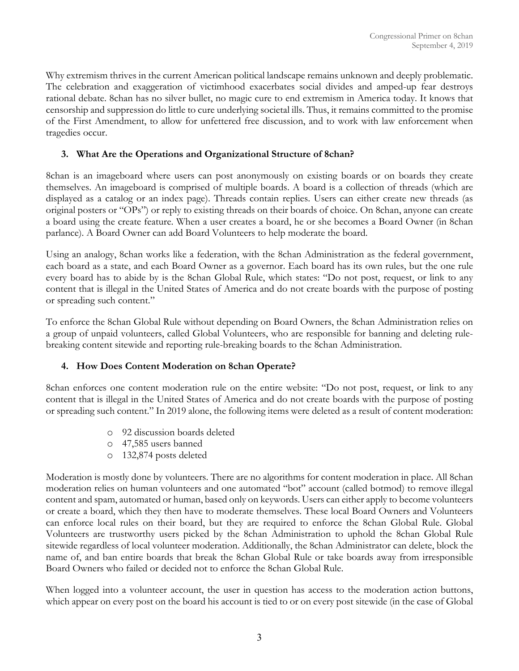Why extremism thrives in the current American political landscape remains unknown and deeply problematic. The celebration and exaggeration of victimhood exacerbates social divides and amped-up fear destroys rational debate. 8chan has no silver bullet, no magic cure to end extremism in America today. It knows that censorship and suppression do little to cure underlying societal ills. Thus, it remains committed to the promise of the First Amendment, to allow for unfettered free discussion, and to work with law enforcement when tragedies occur.

### **3. What Are the Operations and Organizational Structure of 8chan?**

8chan is an imageboard where users can post anonymously on existing boards or on boards they create themselves. An imageboard is comprised of multiple boards. A board is a collection of threads (which are displayed as a catalog or an index page). Threads contain replies. Users can either create new threads (as original posters or "OPs") or reply to existing threads on their boards of choice. On 8chan, anyone can create a board using the create feature. When a user creates a board, he or she becomes a Board Owner (in 8chan parlance). A Board Owner can add Board Volunteers to help moderate the board.

Using an analogy, 8chan works like a federation, with the 8chan Administration as the federal government, each board as a state, and each Board Owner as a governor. Each board has its own rules, but the one rule every board has to abide by is the 8chan Global Rule, which states: "Do not post, request, or link to any content that is illegal in the United States of America and do not create boards with the purpose of posting or spreading such content."

To enforce the 8chan Global Rule without depending on Board Owners, the 8chan Administration relies on a group of unpaid volunteers, called Global Volunteers, who are responsible for banning and deleting rulebreaking content sitewide and reporting rule-breaking boards to the 8chan Administration.

## **4. How Does Content Moderation on 8chan Operate?**

8chan enforces one content moderation rule on the entire website: "Do not post, request, or link to any content that is illegal in the United States of America and do not create boards with the purpose of posting or spreading such content." In 2019 alone, the following items were deleted as a result of content moderation:

- o 92 discussion boards deleted
- o 47,585 users banned
- o 132,874 posts deleted

Moderation is mostly done by volunteers. There are no algorithms for content moderation in place. All 8chan moderation relies on human volunteers and one automated "bot" account (called botmod) to remove illegal content and spam, automated or human, based only on keywords. Users can either apply to become volunteers or create a board, which they then have to moderate themselves. These local Board Owners and Volunteers can enforce local rules on their board, but they are required to enforce the 8chan Global Rule. Global Volunteers are trustworthy users picked by the 8chan Administration to uphold the 8chan Global Rule sitewide regardless of local volunteer moderation. Additionally, the 8chan Administrator can delete, block the name of, and ban entire boards that break the 8chan Global Rule or take boards away from irresponsible Board Owners who failed or decided not to enforce the 8chan Global Rule.

When logged into a volunteer account, the user in question has access to the moderation action buttons, which appear on every post on the board his account is tied to or on every post sitewide (in the case of Global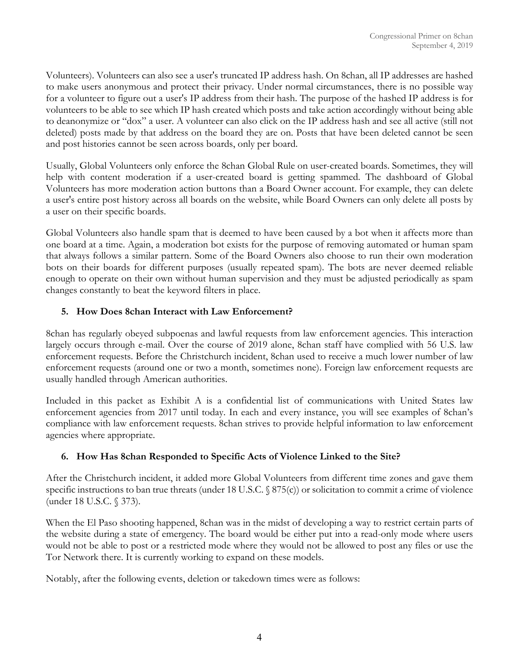Volunteers). Volunteers can also see a user's truncated IP address hash. On 8chan, all IP addresses are hashed to make users anonymous and protect their privacy. Under normal circumstances, there is no possible way for a volunteer to figure out a user's IP address from their hash. The purpose of the hashed IP address is for volunteers to be able to see which IP hash created which posts and take action accordingly without being able to deanonymize or "dox" a user. A volunteer can also click on the IP address hash and see all active (still not deleted) posts made by that address on the board they are on. Posts that have been deleted cannot be seen and post histories cannot be seen across boards, only per board.

Usually, Global Volunteers only enforce the 8chan Global Rule on user-created boards. Sometimes, they will help with content moderation if a user-created board is getting spammed. The dashboard of Global Volunteers has more moderation action buttons than a Board Owner account. For example, they can delete a user's entire post history across all boards on the website, while Board Owners can only delete all posts by a user on their specific boards.

Global Volunteers also handle spam that is deemed to have been caused by a bot when it affects more than one board at a time. Again, a moderation bot exists for the purpose of removing automated or human spam that always follows a similar pattern. Some of the Board Owners also choose to run their own moderation bots on their boards for different purposes (usually repeated spam). The bots are never deemed reliable enough to operate on their own without human supervision and they must be adjusted periodically as spam changes constantly to beat the keyword filters in place.

### **5. How Does 8chan Interact with Law Enforcement?**

8chan has regularly obeyed subpoenas and lawful requests from law enforcement agencies. This interaction largely occurs through e-mail. Over the course of 2019 alone, 8chan staff have complied with 56 U.S. law enforcement requests. Before the Christchurch incident, 8chan used to receive a much lower number of law enforcement requests (around one or two a month, sometimes none). Foreign law enforcement requests are usually handled through American authorities.

Included in this packet as Exhibit A is a confidential list of communications with United States law enforcement agencies from 2017 until today. In each and every instance, you will see examples of 8chan's compliance with law enforcement requests. 8chan strives to provide helpful information to law enforcement agencies where appropriate.

## **6. How Has 8chan Responded to Specific Acts of Violence Linked to the Site?**

After the Christchurch incident, it added more Global Volunteers from different time zones and gave them specific instructions to ban true threats (under 18 U.S.C. § 875(c)) or solicitation to commit a crime of violence (under 18 U.S.C. § 373).

When the El Paso shooting happened, 8chan was in the midst of developing a way to restrict certain parts of the website during a state of emergency. The board would be either put into a read-only mode where users would not be able to post or a restricted mode where they would not be allowed to post any files or use the Tor Network there. It is currently working to expand on these models.

Notably, after the following events, deletion or takedown times were as follows: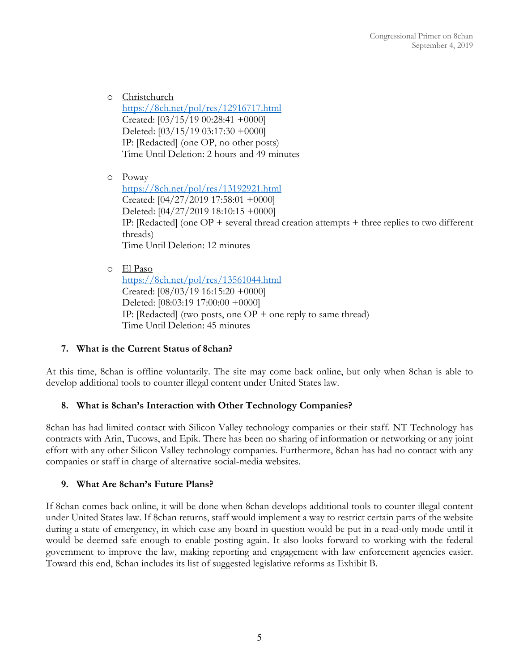o Christchurch https://8ch.net/pol/res/12916717.html Created: [03/15/19 00:28:41 +0000] Deleted: [03/15/19 03:17:30 +0000] IP: [Redacted] (one OP, no other posts) Time Until Deletion: 2 hours and 49 minutes

o Poway https://8ch.net/pol/res/13192921.html Created: [04/27/2019 17:58:01 +0000] Deleted: [04/27/2019 18:10:15 +0000] IP: [Redacted] (one OP + several thread creation attempts + three replies to two different threads) Time Until Deletion: 12 minutes

o El Paso https://8ch.net/pol/res/13561044.html Created: [08/03/19 16:15:20 +0000] Deleted: [08:03:19 17:00:00 +0000] IP: [Redacted] (two posts, one  $OP +$  one reply to same thread) Time Until Deletion: 45 minutes

#### **7. What is the Current Status of 8chan?**

At this time, 8chan is offline voluntarily. The site may come back online, but only when 8chan is able to develop additional tools to counter illegal content under United States law.

#### **8. What is 8chan's Interaction with Other Technology Companies?**

8chan has had limited contact with Silicon Valley technology companies or their staff. NT Technology has contracts with Arin, Tucows, and Epik. There has been no sharing of information or networking or any joint effort with any other Silicon Valley technology companies. Furthermore, 8chan has had no contact with any companies or staff in charge of alternative social-media websites.

#### **9. What Are 8chan's Future Plans?**

If 8chan comes back online, it will be done when 8chan develops additional tools to counter illegal content under United States law. If 8chan returns, staff would implement a way to restrict certain parts of the website during a state of emergency, in which case any board in question would be put in a read-only mode until it would be deemed safe enough to enable posting again. It also looks forward to working with the federal government to improve the law, making reporting and engagement with law enforcement agencies easier. Toward this end, 8chan includes its list of suggested legislative reforms as Exhibit B.